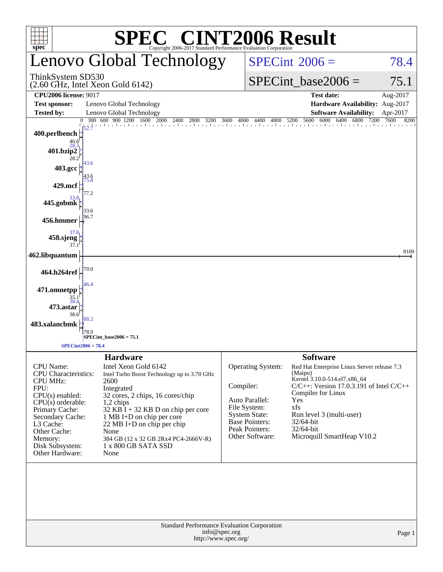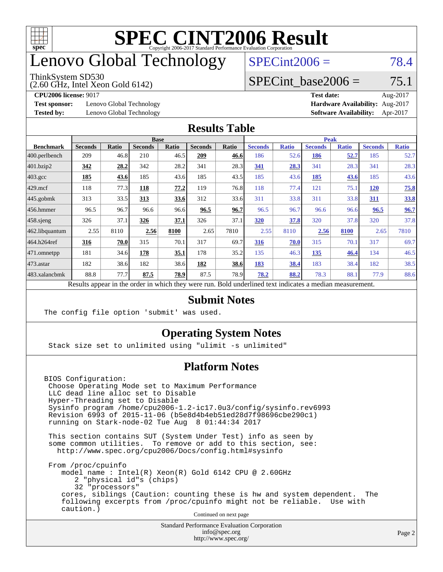

### enovo Global Technology

#### ThinkSystem SD530

(2.60 GHz, Intel Xeon Gold 6142)

 $SPECint2006 = 78.4$  $SPECint2006 = 78.4$ 

#### SPECint base2006 =  $75.1$

**[Test sponsor:](http://www.spec.org/auto/cpu2006/Docs/result-fields.html#Testsponsor)** Lenovo Global Technology **[Hardware Availability:](http://www.spec.org/auto/cpu2006/Docs/result-fields.html#HardwareAvailability)** Aug-2017

**[CPU2006 license:](http://www.spec.org/auto/cpu2006/Docs/result-fields.html#CPU2006license)** 9017 **[Test date:](http://www.spec.org/auto/cpu2006/Docs/result-fields.html#Testdate)** Aug-2017 **[Tested by:](http://www.spec.org/auto/cpu2006/Docs/result-fields.html#Testedby)** Lenovo Global Technology **[Software Availability:](http://www.spec.org/auto/cpu2006/Docs/result-fields.html#SoftwareAvailability)** Apr-2017

#### **[Results Table](http://www.spec.org/auto/cpu2006/Docs/result-fields.html#ResultsTable)**

|                                                                                                          | <b>Base</b>    |              |                |              |                |       | <b>Peak</b>    |              |                |              |                |              |
|----------------------------------------------------------------------------------------------------------|----------------|--------------|----------------|--------------|----------------|-------|----------------|--------------|----------------|--------------|----------------|--------------|
| <b>Benchmark</b>                                                                                         | <b>Seconds</b> | <b>Ratio</b> | <b>Seconds</b> | <b>Ratio</b> | <b>Seconds</b> | Ratio | <b>Seconds</b> | <b>Ratio</b> | <b>Seconds</b> | <b>Ratio</b> | <b>Seconds</b> | <b>Ratio</b> |
| 400.perlbench                                                                                            | 209            | 46.8         | 210            | 46.5         | 209            | 46.6  | 186            | 52.6         | 186            | 52.7         | 185            | 52.7         |
| 401.bzip2                                                                                                | 342            | 28.2         | 342            | 28.2         | 341            | 28.3  | 341            | 28.3         | 341            | 28.3         | 341            | 28.3         |
| $403.\text{gcc}$                                                                                         | 185            | 43.6         | 185            | 43.6         | 185            | 43.5  | 185            | 43.6         | 185            | 43.6         | 185            | 43.6         |
| $429$ .mcf                                                                                               | 118            | 77.3         | 118            | 77.2         | 119            | 76.8  | 118            | 77.4         | 121            | 75.1         | <b>120</b>     | 75.8         |
| $445$ .gobmk                                                                                             | 313            | 33.5         | 313            | 33.6         | 312            | 33.6  | 311            | 33.8         | 311            | 33.8         | 311            | 33.8         |
| $456.$ hmmer                                                                                             | 96.5           | 96.7         | 96.6           | 96.6         | 96.5           | 96.7  | 96.5           | 96.7         | 96.6           | 96.6         | 96.5           | 96.7         |
| $458$ .sjeng                                                                                             | 326            | 37.1         | 326            | 37.1         | 326            | 37.1  | 320            | 37.8         | 320            | 37.8         | 320            | 37.8         |
| 462.libquantum                                                                                           | 2.55           | 8110         | 2.56           | 8100         | 2.65           | 7810  | 2.55           | 8110         | 2.56           | 8100         | 2.65           | 7810         |
| 464.h264ref                                                                                              | 316            | 70.0         | 315            | 70.1         | 317            | 69.7  | 316            | 70.0         | 315            | 70.1         | 317            | 69.7         |
| 471.omnetpp                                                                                              | 181            | 34.6         | 178            | 35.1         | 178            | 35.2  | 135            | 46.3         | 135            | 46.4         | 134            | 46.5         |
| $473$ . astar                                                                                            | 182            | 38.6         | 182            | 38.6         | 182            | 38.6  | 183            | 38.4         | 183            | 38.4         | 182            | 38.5         |
| 483.xalancbmk                                                                                            | 88.8           | 77.7         | 87.5           | 78.9         | 87.5           | 78.9  | 78.2           | 88.2         | 78.3           | 88.1         | 77.9           | 88.6         |
| Results appear in the order in which they were run. Bold underlined text indicates a median measurement. |                |              |                |              |                |       |                |              |                |              |                |              |

#### **[Submit Notes](http://www.spec.org/auto/cpu2006/Docs/result-fields.html#SubmitNotes)**

The config file option 'submit' was used.

#### **[Operating System Notes](http://www.spec.org/auto/cpu2006/Docs/result-fields.html#OperatingSystemNotes)**

Stack size set to unlimited using "ulimit -s unlimited"

#### **[Platform Notes](http://www.spec.org/auto/cpu2006/Docs/result-fields.html#PlatformNotes)**

BIOS Configuration: Choose Operating Mode set to Maximum Performance LLC dead line alloc set to Disable Hyper-Threading set to Disable Sysinfo program /home/cpu2006-1.2-ic17.0u3/config/sysinfo.rev6993 Revision 6993 of 2015-11-06 (b5e8d4b4eb51ed28d7f98696cbe290c1) running on Stark-node-02 Tue Aug 8 01:44:34 2017

 This section contains SUT (System Under Test) info as seen by some common utilities. To remove or add to this section, see: <http://www.spec.org/cpu2006/Docs/config.html#sysinfo>

 From /proc/cpuinfo model name : Intel(R) Xeon(R) Gold 6142 CPU @ 2.60GHz 2 "physical id"s (chips) 32 "processors" cores, siblings (Caution: counting these is hw and system dependent. The following excerpts from /proc/cpuinfo might not be reliable. Use with caution.)

Continued on next page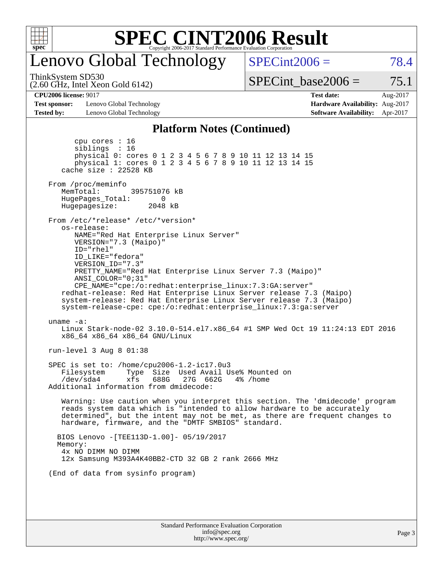

### enovo Global Technology

 $SPECint2006 = 78.4$  $SPECint2006 = 78.4$ 

(2.60 GHz, Intel Xeon Gold 6142) ThinkSystem SD530

SPECint base2006 =  $75.1$ 

**[Test sponsor:](http://www.spec.org/auto/cpu2006/Docs/result-fields.html#Testsponsor)** Lenovo Global Technology **[Hardware Availability:](http://www.spec.org/auto/cpu2006/Docs/result-fields.html#HardwareAvailability)** Aug-2017 **[Tested by:](http://www.spec.org/auto/cpu2006/Docs/result-fields.html#Testedby)** Lenovo Global Technology **[Software Availability:](http://www.spec.org/auto/cpu2006/Docs/result-fields.html#SoftwareAvailability)** Apr-2017

**[CPU2006 license:](http://www.spec.org/auto/cpu2006/Docs/result-fields.html#CPU2006license)** 9017 **[Test date:](http://www.spec.org/auto/cpu2006/Docs/result-fields.html#Testdate)** Aug-2017

#### **[Platform Notes \(Continued\)](http://www.spec.org/auto/cpu2006/Docs/result-fields.html#PlatformNotes)**

Standard Performance Evaluation Corporation [info@spec.org](mailto:info@spec.org) cpu cores : 16 siblings : 16 physical 0: cores 0 1 2 3 4 5 6 7 8 9 10 11 12 13 14 15 physical 1: cores 0 1 2 3 4 5 6 7 8 9 10 11 12 13 14 15 cache size : 22528 KB From /proc/meminfo MemTotal: 395751076 kB HugePages\_Total: 0<br>Hugepagesize: 2048 kB Hugepagesize: From /etc/\*release\* /etc/\*version\* os-release: NAME="Red Hat Enterprise Linux Server" VERSION="7.3 (Maipo)" ID="rhel" ID\_LIKE="fedora" VERSION\_ID="7.3" PRETTY\_NAME="Red Hat Enterprise Linux Server 7.3 (Maipo)" ANSI\_COLOR="0;31" CPE\_NAME="cpe:/o:redhat:enterprise\_linux:7.3:GA:server" redhat-release: Red Hat Enterprise Linux Server release 7.3 (Maipo) system-release: Red Hat Enterprise Linux Server release 7.3 (Maipo) system-release-cpe: cpe:/o:redhat:enterprise\_linux:7.3:ga:server uname -a: Linux Stark-node-02 3.10.0-514.el7.x86\_64 #1 SMP Wed Oct 19 11:24:13 EDT 2016 x86\_64 x86\_64 x86\_64 GNU/Linux run-level 3 Aug 8 01:38 SPEC is set to: /home/cpu2006-1.2-ic17.0u3 Filesystem Type Size Used Avail Use% Mounted on /dev/sda4 xfs 688G 27G 662G 4% /home Additional information from dmidecode: Warning: Use caution when you interpret this section. The 'dmidecode' program reads system data which is "intended to allow hardware to be accurately determined", but the intent may not be met, as there are frequent changes to hardware, firmware, and the "DMTF SMBIOS" standard. BIOS Lenovo -[TEE113D-1.00]- 05/19/2017 Memory: 4x NO DIMM NO DIMM 12x Samsung M393A4K40BB2-CTD 32 GB 2 rank 2666 MHz (End of data from sysinfo program)

<http://www.spec.org/>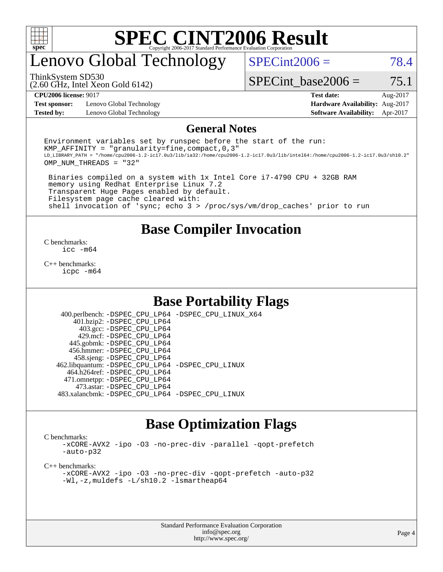

### enovo Global Technology

 $SPECint2006 = 78.4$  $SPECint2006 = 78.4$ 

(2.60 GHz, Intel Xeon Gold 6142) ThinkSystem SD530

SPECint base2006 =  $75.1$ 

**[Test sponsor:](http://www.spec.org/auto/cpu2006/Docs/result-fields.html#Testsponsor)** Lenovo Global Technology **[Hardware Availability:](http://www.spec.org/auto/cpu2006/Docs/result-fields.html#HardwareAvailability)** Aug-2017 **[Tested by:](http://www.spec.org/auto/cpu2006/Docs/result-fields.html#Testedby)** Lenovo Global Technology **[Software Availability:](http://www.spec.org/auto/cpu2006/Docs/result-fields.html#SoftwareAvailability)** Apr-2017

**[CPU2006 license:](http://www.spec.org/auto/cpu2006/Docs/result-fields.html#CPU2006license)** 9017 **[Test date:](http://www.spec.org/auto/cpu2006/Docs/result-fields.html#Testdate)** Aug-2017

#### **[General Notes](http://www.spec.org/auto/cpu2006/Docs/result-fields.html#GeneralNotes)**

Environment variables set by runspec before the start of the run: KMP AFFINITY = "granularity=fine, compact,  $0,3$ " LD\_LIBRARY\_PATH = "/home/cpu2006-1.2-ic17.0u3/lib/ia32:/home/cpu2006-1.2-ic17.0u3/lib/intel64:/home/cpu2006-1.2-ic17.0u3/sh10.2" OMP\_NUM\_THREADS = "32"

 Binaries compiled on a system with 1x Intel Core i7-4790 CPU + 32GB RAM memory using Redhat Enterprise Linux 7.2 Transparent Huge Pages enabled by default. Filesystem page cache cleared with: shell invocation of 'sync; echo 3 > /proc/sys/vm/drop\_caches' prior to run

#### **[Base Compiler Invocation](http://www.spec.org/auto/cpu2006/Docs/result-fields.html#BaseCompilerInvocation)**

[C benchmarks](http://www.spec.org/auto/cpu2006/Docs/result-fields.html#Cbenchmarks): [icc -m64](http://www.spec.org/cpu2006/results/res2017q4/cpu2006-20170918-49663.flags.html#user_CCbase_intel_icc_64bit_bda6cc9af1fdbb0edc3795bac97ada53)

[C++ benchmarks:](http://www.spec.org/auto/cpu2006/Docs/result-fields.html#CXXbenchmarks) [icpc -m64](http://www.spec.org/cpu2006/results/res2017q4/cpu2006-20170918-49663.flags.html#user_CXXbase_intel_icpc_64bit_fc66a5337ce925472a5c54ad6a0de310)

#### **[Base Portability Flags](http://www.spec.org/auto/cpu2006/Docs/result-fields.html#BasePortabilityFlags)**

 400.perlbench: [-DSPEC\\_CPU\\_LP64](http://www.spec.org/cpu2006/results/res2017q4/cpu2006-20170918-49663.flags.html#b400.perlbench_basePORTABILITY_DSPEC_CPU_LP64) [-DSPEC\\_CPU\\_LINUX\\_X64](http://www.spec.org/cpu2006/results/res2017q4/cpu2006-20170918-49663.flags.html#b400.perlbench_baseCPORTABILITY_DSPEC_CPU_LINUX_X64) 401.bzip2: [-DSPEC\\_CPU\\_LP64](http://www.spec.org/cpu2006/results/res2017q4/cpu2006-20170918-49663.flags.html#suite_basePORTABILITY401_bzip2_DSPEC_CPU_LP64) 403.gcc: [-DSPEC\\_CPU\\_LP64](http://www.spec.org/cpu2006/results/res2017q4/cpu2006-20170918-49663.flags.html#suite_basePORTABILITY403_gcc_DSPEC_CPU_LP64) 429.mcf: [-DSPEC\\_CPU\\_LP64](http://www.spec.org/cpu2006/results/res2017q4/cpu2006-20170918-49663.flags.html#suite_basePORTABILITY429_mcf_DSPEC_CPU_LP64) 445.gobmk: [-DSPEC\\_CPU\\_LP64](http://www.spec.org/cpu2006/results/res2017q4/cpu2006-20170918-49663.flags.html#suite_basePORTABILITY445_gobmk_DSPEC_CPU_LP64) 456.hmmer: [-DSPEC\\_CPU\\_LP64](http://www.spec.org/cpu2006/results/res2017q4/cpu2006-20170918-49663.flags.html#suite_basePORTABILITY456_hmmer_DSPEC_CPU_LP64) 458.sjeng: [-DSPEC\\_CPU\\_LP64](http://www.spec.org/cpu2006/results/res2017q4/cpu2006-20170918-49663.flags.html#suite_basePORTABILITY458_sjeng_DSPEC_CPU_LP64) 462.libquantum: [-DSPEC\\_CPU\\_LP64](http://www.spec.org/cpu2006/results/res2017q4/cpu2006-20170918-49663.flags.html#suite_basePORTABILITY462_libquantum_DSPEC_CPU_LP64) [-DSPEC\\_CPU\\_LINUX](http://www.spec.org/cpu2006/results/res2017q4/cpu2006-20170918-49663.flags.html#b462.libquantum_baseCPORTABILITY_DSPEC_CPU_LINUX) 464.h264ref: [-DSPEC\\_CPU\\_LP64](http://www.spec.org/cpu2006/results/res2017q4/cpu2006-20170918-49663.flags.html#suite_basePORTABILITY464_h264ref_DSPEC_CPU_LP64) 471.omnetpp: [-DSPEC\\_CPU\\_LP64](http://www.spec.org/cpu2006/results/res2017q4/cpu2006-20170918-49663.flags.html#suite_basePORTABILITY471_omnetpp_DSPEC_CPU_LP64) 473.astar: [-DSPEC\\_CPU\\_LP64](http://www.spec.org/cpu2006/results/res2017q4/cpu2006-20170918-49663.flags.html#suite_basePORTABILITY473_astar_DSPEC_CPU_LP64) 483.xalancbmk: [-DSPEC\\_CPU\\_LP64](http://www.spec.org/cpu2006/results/res2017q4/cpu2006-20170918-49663.flags.html#suite_basePORTABILITY483_xalancbmk_DSPEC_CPU_LP64) [-DSPEC\\_CPU\\_LINUX](http://www.spec.org/cpu2006/results/res2017q4/cpu2006-20170918-49663.flags.html#b483.xalancbmk_baseCXXPORTABILITY_DSPEC_CPU_LINUX)

#### **[Base Optimization Flags](http://www.spec.org/auto/cpu2006/Docs/result-fields.html#BaseOptimizationFlags)**

[C benchmarks](http://www.spec.org/auto/cpu2006/Docs/result-fields.html#Cbenchmarks):

[-xCORE-AVX2](http://www.spec.org/cpu2006/results/res2017q4/cpu2006-20170918-49663.flags.html#user_CCbase_f-xCORE-AVX2) [-ipo](http://www.spec.org/cpu2006/results/res2017q4/cpu2006-20170918-49663.flags.html#user_CCbase_f-ipo) [-O3](http://www.spec.org/cpu2006/results/res2017q4/cpu2006-20170918-49663.flags.html#user_CCbase_f-O3) [-no-prec-div](http://www.spec.org/cpu2006/results/res2017q4/cpu2006-20170918-49663.flags.html#user_CCbase_f-no-prec-div) [-parallel](http://www.spec.org/cpu2006/results/res2017q4/cpu2006-20170918-49663.flags.html#user_CCbase_f-parallel) [-qopt-prefetch](http://www.spec.org/cpu2006/results/res2017q4/cpu2006-20170918-49663.flags.html#user_CCbase_f-qopt-prefetch) [-auto-p32](http://www.spec.org/cpu2006/results/res2017q4/cpu2006-20170918-49663.flags.html#user_CCbase_f-auto-p32)

[C++ benchmarks:](http://www.spec.org/auto/cpu2006/Docs/result-fields.html#CXXbenchmarks)

[-xCORE-AVX2](http://www.spec.org/cpu2006/results/res2017q4/cpu2006-20170918-49663.flags.html#user_CXXbase_f-xCORE-AVX2) [-ipo](http://www.spec.org/cpu2006/results/res2017q4/cpu2006-20170918-49663.flags.html#user_CXXbase_f-ipo) [-O3](http://www.spec.org/cpu2006/results/res2017q4/cpu2006-20170918-49663.flags.html#user_CXXbase_f-O3) [-no-prec-div](http://www.spec.org/cpu2006/results/res2017q4/cpu2006-20170918-49663.flags.html#user_CXXbase_f-no-prec-div) [-qopt-prefetch](http://www.spec.org/cpu2006/results/res2017q4/cpu2006-20170918-49663.flags.html#user_CXXbase_f-qopt-prefetch) [-auto-p32](http://www.spec.org/cpu2006/results/res2017q4/cpu2006-20170918-49663.flags.html#user_CXXbase_f-auto-p32) [-Wl,-z,muldefs](http://www.spec.org/cpu2006/results/res2017q4/cpu2006-20170918-49663.flags.html#user_CXXbase_link_force_multiple1_74079c344b956b9658436fd1b6dd3a8a) [-L/sh10.2 -lsmartheap64](http://www.spec.org/cpu2006/results/res2017q4/cpu2006-20170918-49663.flags.html#user_CXXbase_SmartHeap64_63911d860fc08c15fa1d5bf319b9d8d5)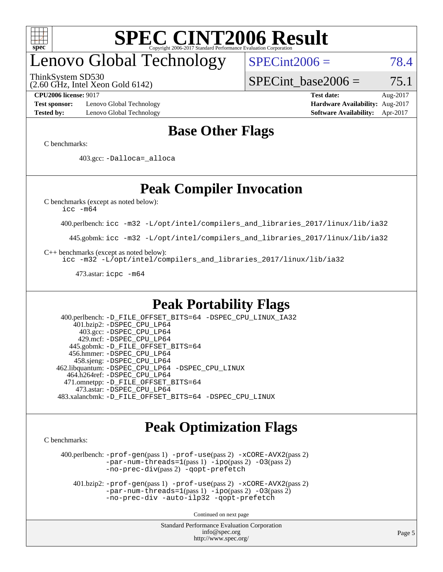

# enovo Global Technology

ThinkSystem SD530

 $SPECint2006 = 78.4$  $SPECint2006 = 78.4$ 

(2.60 GHz, Intel Xeon Gold 6142)

SPECint base2006 =  $75.1$ 

**[Test sponsor:](http://www.spec.org/auto/cpu2006/Docs/result-fields.html#Testsponsor)** Lenovo Global Technology **[Hardware Availability:](http://www.spec.org/auto/cpu2006/Docs/result-fields.html#HardwareAvailability)** Aug-2017 **[Tested by:](http://www.spec.org/auto/cpu2006/Docs/result-fields.html#Testedby)** Lenovo Global Technology **[Software Availability:](http://www.spec.org/auto/cpu2006/Docs/result-fields.html#SoftwareAvailability)** Apr-2017

**[CPU2006 license:](http://www.spec.org/auto/cpu2006/Docs/result-fields.html#CPU2006license)** 9017 **[Test date:](http://www.spec.org/auto/cpu2006/Docs/result-fields.html#Testdate)** Aug-2017

#### **[Base Other Flags](http://www.spec.org/auto/cpu2006/Docs/result-fields.html#BaseOtherFlags)**

[C benchmarks](http://www.spec.org/auto/cpu2006/Docs/result-fields.html#Cbenchmarks):

403.gcc: [-Dalloca=\\_alloca](http://www.spec.org/cpu2006/results/res2017q4/cpu2006-20170918-49663.flags.html#b403.gcc_baseEXTRA_CFLAGS_Dalloca_be3056838c12de2578596ca5467af7f3)

#### **[Peak Compiler Invocation](http://www.spec.org/auto/cpu2006/Docs/result-fields.html#PeakCompilerInvocation)**

[C benchmarks \(except as noted below\)](http://www.spec.org/auto/cpu2006/Docs/result-fields.html#Cbenchmarksexceptasnotedbelow):

[icc -m64](http://www.spec.org/cpu2006/results/res2017q4/cpu2006-20170918-49663.flags.html#user_CCpeak_intel_icc_64bit_bda6cc9af1fdbb0edc3795bac97ada53)

400.perlbench: [icc -m32 -L/opt/intel/compilers\\_and\\_libraries\\_2017/linux/lib/ia32](http://www.spec.org/cpu2006/results/res2017q4/cpu2006-20170918-49663.flags.html#user_peakCCLD400_perlbench_intel_icc_c29f3ff5a7ed067b11e4ec10a03f03ae)

445.gobmk: [icc -m32 -L/opt/intel/compilers\\_and\\_libraries\\_2017/linux/lib/ia32](http://www.spec.org/cpu2006/results/res2017q4/cpu2006-20170918-49663.flags.html#user_peakCCLD445_gobmk_intel_icc_c29f3ff5a7ed067b11e4ec10a03f03ae)

[C++ benchmarks \(except as noted below\):](http://www.spec.org/auto/cpu2006/Docs/result-fields.html#CXXbenchmarksexceptasnotedbelow)

[icc -m32 -L/opt/intel/compilers\\_and\\_libraries\\_2017/linux/lib/ia32](http://www.spec.org/cpu2006/results/res2017q4/cpu2006-20170918-49663.flags.html#user_CXXpeak_intel_icc_c29f3ff5a7ed067b11e4ec10a03f03ae)

473.astar: [icpc -m64](http://www.spec.org/cpu2006/results/res2017q4/cpu2006-20170918-49663.flags.html#user_peakCXXLD473_astar_intel_icpc_64bit_fc66a5337ce925472a5c54ad6a0de310)

#### **[Peak Portability Flags](http://www.spec.org/auto/cpu2006/Docs/result-fields.html#PeakPortabilityFlags)**

 400.perlbench: [-D\\_FILE\\_OFFSET\\_BITS=64](http://www.spec.org/cpu2006/results/res2017q4/cpu2006-20170918-49663.flags.html#user_peakPORTABILITY400_perlbench_file_offset_bits_64_438cf9856305ebd76870a2c6dc2689ab) [-DSPEC\\_CPU\\_LINUX\\_IA32](http://www.spec.org/cpu2006/results/res2017q4/cpu2006-20170918-49663.flags.html#b400.perlbench_peakCPORTABILITY_DSPEC_CPU_LINUX_IA32) 401.bzip2: [-DSPEC\\_CPU\\_LP64](http://www.spec.org/cpu2006/results/res2017q4/cpu2006-20170918-49663.flags.html#suite_peakPORTABILITY401_bzip2_DSPEC_CPU_LP64) 403.gcc: [-DSPEC\\_CPU\\_LP64](http://www.spec.org/cpu2006/results/res2017q4/cpu2006-20170918-49663.flags.html#suite_peakPORTABILITY403_gcc_DSPEC_CPU_LP64) 429.mcf: [-DSPEC\\_CPU\\_LP64](http://www.spec.org/cpu2006/results/res2017q4/cpu2006-20170918-49663.flags.html#suite_peakPORTABILITY429_mcf_DSPEC_CPU_LP64) 445.gobmk: [-D\\_FILE\\_OFFSET\\_BITS=64](http://www.spec.org/cpu2006/results/res2017q4/cpu2006-20170918-49663.flags.html#user_peakPORTABILITY445_gobmk_file_offset_bits_64_438cf9856305ebd76870a2c6dc2689ab) 456.hmmer: [-DSPEC\\_CPU\\_LP64](http://www.spec.org/cpu2006/results/res2017q4/cpu2006-20170918-49663.flags.html#suite_peakPORTABILITY456_hmmer_DSPEC_CPU_LP64) 458.sjeng: [-DSPEC\\_CPU\\_LP64](http://www.spec.org/cpu2006/results/res2017q4/cpu2006-20170918-49663.flags.html#suite_peakPORTABILITY458_sjeng_DSPEC_CPU_LP64) 462.libquantum: [-DSPEC\\_CPU\\_LP64](http://www.spec.org/cpu2006/results/res2017q4/cpu2006-20170918-49663.flags.html#suite_peakPORTABILITY462_libquantum_DSPEC_CPU_LP64) [-DSPEC\\_CPU\\_LINUX](http://www.spec.org/cpu2006/results/res2017q4/cpu2006-20170918-49663.flags.html#b462.libquantum_peakCPORTABILITY_DSPEC_CPU_LINUX) 464.h264ref: [-DSPEC\\_CPU\\_LP64](http://www.spec.org/cpu2006/results/res2017q4/cpu2006-20170918-49663.flags.html#suite_peakPORTABILITY464_h264ref_DSPEC_CPU_LP64) 471.omnetpp: [-D\\_FILE\\_OFFSET\\_BITS=64](http://www.spec.org/cpu2006/results/res2017q4/cpu2006-20170918-49663.flags.html#user_peakPORTABILITY471_omnetpp_file_offset_bits_64_438cf9856305ebd76870a2c6dc2689ab) 473.astar: [-DSPEC\\_CPU\\_LP64](http://www.spec.org/cpu2006/results/res2017q4/cpu2006-20170918-49663.flags.html#suite_peakPORTABILITY473_astar_DSPEC_CPU_LP64) 483.xalancbmk: [-D\\_FILE\\_OFFSET\\_BITS=64](http://www.spec.org/cpu2006/results/res2017q4/cpu2006-20170918-49663.flags.html#user_peakPORTABILITY483_xalancbmk_file_offset_bits_64_438cf9856305ebd76870a2c6dc2689ab) [-DSPEC\\_CPU\\_LINUX](http://www.spec.org/cpu2006/results/res2017q4/cpu2006-20170918-49663.flags.html#b483.xalancbmk_peakCXXPORTABILITY_DSPEC_CPU_LINUX)

#### **[Peak Optimization Flags](http://www.spec.org/auto/cpu2006/Docs/result-fields.html#PeakOptimizationFlags)**

[C benchmarks](http://www.spec.org/auto/cpu2006/Docs/result-fields.html#Cbenchmarks):

 400.perlbench: [-prof-gen](http://www.spec.org/cpu2006/results/res2017q4/cpu2006-20170918-49663.flags.html#user_peakPASS1_CFLAGSPASS1_LDCFLAGS400_perlbench_prof_gen_e43856698f6ca7b7e442dfd80e94a8fc)(pass 1) [-prof-use](http://www.spec.org/cpu2006/results/res2017q4/cpu2006-20170918-49663.flags.html#user_peakPASS2_CFLAGSPASS2_LDCFLAGS400_perlbench_prof_use_bccf7792157ff70d64e32fe3e1250b55)(pass 2) [-xCORE-AVX2](http://www.spec.org/cpu2006/results/res2017q4/cpu2006-20170918-49663.flags.html#user_peakPASS2_CFLAGSPASS2_LDCFLAGS400_perlbench_f-xCORE-AVX2)(pass 2) [-par-num-threads=1](http://www.spec.org/cpu2006/results/res2017q4/cpu2006-20170918-49663.flags.html#user_peakPASS1_CFLAGSPASS1_LDCFLAGS400_perlbench_par_num_threads_786a6ff141b4e9e90432e998842df6c2)(pass 1) [-ipo](http://www.spec.org/cpu2006/results/res2017q4/cpu2006-20170918-49663.flags.html#user_peakPASS2_CFLAGSPASS2_LDCFLAGS400_perlbench_f-ipo)(pass 2) [-O3](http://www.spec.org/cpu2006/results/res2017q4/cpu2006-20170918-49663.flags.html#user_peakPASS2_CFLAGSPASS2_LDCFLAGS400_perlbench_f-O3)(pass 2) [-no-prec-div](http://www.spec.org/cpu2006/results/res2017q4/cpu2006-20170918-49663.flags.html#user_peakPASS2_CFLAGSPASS2_LDCFLAGS400_perlbench_f-no-prec-div)(pass 2) [-qopt-prefetch](http://www.spec.org/cpu2006/results/res2017q4/cpu2006-20170918-49663.flags.html#user_peakCOPTIMIZE400_perlbench_f-qopt-prefetch)

 401.bzip2: [-prof-gen](http://www.spec.org/cpu2006/results/res2017q4/cpu2006-20170918-49663.flags.html#user_peakPASS1_CFLAGSPASS1_LDCFLAGS401_bzip2_prof_gen_e43856698f6ca7b7e442dfd80e94a8fc)(pass 1) [-prof-use](http://www.spec.org/cpu2006/results/res2017q4/cpu2006-20170918-49663.flags.html#user_peakPASS2_CFLAGSPASS2_LDCFLAGS401_bzip2_prof_use_bccf7792157ff70d64e32fe3e1250b55)(pass 2) [-xCORE-AVX2](http://www.spec.org/cpu2006/results/res2017q4/cpu2006-20170918-49663.flags.html#user_peakPASS2_CFLAGSPASS2_LDCFLAGS401_bzip2_f-xCORE-AVX2)(pass 2)  $-par-num-threads=1(pass 1) -ipo(pass 2) -O3(pass 2)$  $-par-num-threads=1(pass 1) -ipo(pass 2) -O3(pass 2)$  $-par-num-threads=1(pass 1) -ipo(pass 2) -O3(pass 2)$  $-par-num-threads=1(pass 1) -ipo(pass 2) -O3(pass 2)$  $-par-num-threads=1(pass 1) -ipo(pass 2) -O3(pass 2)$  $-par-num-threads=1(pass 1) -ipo(pass 2) -O3(pass 2)$ [-no-prec-div](http://www.spec.org/cpu2006/results/res2017q4/cpu2006-20170918-49663.flags.html#user_peakCOPTIMIZEPASS2_CFLAGSPASS2_LDCFLAGS401_bzip2_f-no-prec-div) [-auto-ilp32](http://www.spec.org/cpu2006/results/res2017q4/cpu2006-20170918-49663.flags.html#user_peakCOPTIMIZE401_bzip2_f-auto-ilp32) [-qopt-prefetch](http://www.spec.org/cpu2006/results/res2017q4/cpu2006-20170918-49663.flags.html#user_peakCOPTIMIZE401_bzip2_f-qopt-prefetch)

Continued on next page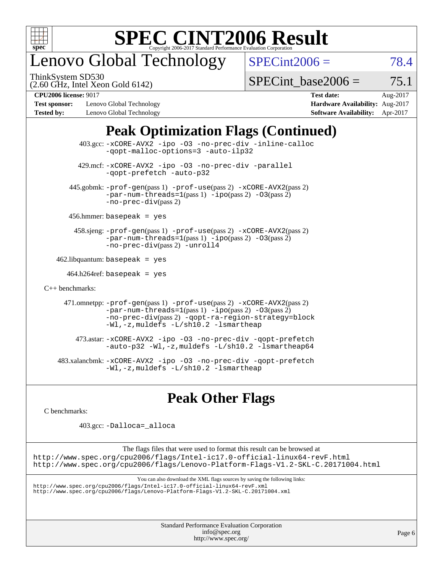

# enovo Global Technology

ThinkSystem SD530

 $SPECint2006 = 78.4$  $SPECint2006 = 78.4$ 

(2.60 GHz, Intel Xeon Gold 6142)

SPECint base2006 =  $75.1$ 

**[Test sponsor:](http://www.spec.org/auto/cpu2006/Docs/result-fields.html#Testsponsor)** Lenovo Global Technology **[Hardware Availability:](http://www.spec.org/auto/cpu2006/Docs/result-fields.html#HardwareAvailability)** Aug-2017 **[Tested by:](http://www.spec.org/auto/cpu2006/Docs/result-fields.html#Testedby)** Lenovo Global Technology **[Software Availability:](http://www.spec.org/auto/cpu2006/Docs/result-fields.html#SoftwareAvailability)** Apr-2017

**[CPU2006 license:](http://www.spec.org/auto/cpu2006/Docs/result-fields.html#CPU2006license)** 9017 **[Test date:](http://www.spec.org/auto/cpu2006/Docs/result-fields.html#Testdate)** Aug-2017

### **[Peak Optimization Flags \(Continued\)](http://www.spec.org/auto/cpu2006/Docs/result-fields.html#PeakOptimizationFlags)**

 403.gcc: [-xCORE-AVX2](http://www.spec.org/cpu2006/results/res2017q4/cpu2006-20170918-49663.flags.html#user_peakOPTIMIZE403_gcc_f-xCORE-AVX2) [-ipo](http://www.spec.org/cpu2006/results/res2017q4/cpu2006-20170918-49663.flags.html#user_peakOPTIMIZE403_gcc_f-ipo) [-O3](http://www.spec.org/cpu2006/results/res2017q4/cpu2006-20170918-49663.flags.html#user_peakOPTIMIZE403_gcc_f-O3) [-no-prec-div](http://www.spec.org/cpu2006/results/res2017q4/cpu2006-20170918-49663.flags.html#user_peakOPTIMIZE403_gcc_f-no-prec-div) [-inline-calloc](http://www.spec.org/cpu2006/results/res2017q4/cpu2006-20170918-49663.flags.html#user_peakCOPTIMIZE403_gcc_f-inline-calloc) [-qopt-malloc-options=3](http://www.spec.org/cpu2006/results/res2017q4/cpu2006-20170918-49663.flags.html#user_peakCOPTIMIZE403_gcc_f-qopt-malloc-options_0fcb435012e78f27d57f473818e45fe4) [-auto-ilp32](http://www.spec.org/cpu2006/results/res2017q4/cpu2006-20170918-49663.flags.html#user_peakCOPTIMIZE403_gcc_f-auto-ilp32) 429.mcf: [-xCORE-AVX2](http://www.spec.org/cpu2006/results/res2017q4/cpu2006-20170918-49663.flags.html#user_peakOPTIMIZE429_mcf_f-xCORE-AVX2) [-ipo](http://www.spec.org/cpu2006/results/res2017q4/cpu2006-20170918-49663.flags.html#user_peakOPTIMIZE429_mcf_f-ipo) [-O3](http://www.spec.org/cpu2006/results/res2017q4/cpu2006-20170918-49663.flags.html#user_peakOPTIMIZE429_mcf_f-O3) [-no-prec-div](http://www.spec.org/cpu2006/results/res2017q4/cpu2006-20170918-49663.flags.html#user_peakOPTIMIZE429_mcf_f-no-prec-div) [-parallel](http://www.spec.org/cpu2006/results/res2017q4/cpu2006-20170918-49663.flags.html#user_peakCOPTIMIZE429_mcf_f-parallel) [-qopt-prefetch](http://www.spec.org/cpu2006/results/res2017q4/cpu2006-20170918-49663.flags.html#user_peakCOPTIMIZE429_mcf_f-qopt-prefetch) [-auto-p32](http://www.spec.org/cpu2006/results/res2017q4/cpu2006-20170918-49663.flags.html#user_peakCOPTIMIZE429_mcf_f-auto-p32) 445.gobmk: [-prof-gen](http://www.spec.org/cpu2006/results/res2017q4/cpu2006-20170918-49663.flags.html#user_peakPASS1_CFLAGSPASS1_LDCFLAGS445_gobmk_prof_gen_e43856698f6ca7b7e442dfd80e94a8fc)(pass 1) [-prof-use](http://www.spec.org/cpu2006/results/res2017q4/cpu2006-20170918-49663.flags.html#user_peakPASS2_CFLAGSPASS2_LDCFLAGS445_gobmk_prof_use_bccf7792157ff70d64e32fe3e1250b55)(pass 2) [-xCORE-AVX2](http://www.spec.org/cpu2006/results/res2017q4/cpu2006-20170918-49663.flags.html#user_peakPASS2_CFLAGSPASS2_LDCFLAGS445_gobmk_f-xCORE-AVX2)(pass 2)  $-par-num-threads=1(pass 1) -ipo(pass 2) -O3(pass 2)$  $-par-num-threads=1(pass 1) -ipo(pass 2) -O3(pass 2)$  $-par-num-threads=1(pass 1) -ipo(pass 2) -O3(pass 2)$  $-par-num-threads=1(pass 1) -ipo(pass 2) -O3(pass 2)$  $-par-num-threads=1(pass 1) -ipo(pass 2) -O3(pass 2)$  $-par-num-threads=1(pass 1) -ipo(pass 2) -O3(pass 2)$ [-no-prec-div](http://www.spec.org/cpu2006/results/res2017q4/cpu2006-20170918-49663.flags.html#user_peakPASS2_CFLAGSPASS2_LDCFLAGS445_gobmk_f-no-prec-div)(pass 2) 456.hmmer: basepeak = yes 458.sjeng: [-prof-gen](http://www.spec.org/cpu2006/results/res2017q4/cpu2006-20170918-49663.flags.html#user_peakPASS1_CFLAGSPASS1_LDCFLAGS458_sjeng_prof_gen_e43856698f6ca7b7e442dfd80e94a8fc)(pass 1) [-prof-use](http://www.spec.org/cpu2006/results/res2017q4/cpu2006-20170918-49663.flags.html#user_peakPASS2_CFLAGSPASS2_LDCFLAGS458_sjeng_prof_use_bccf7792157ff70d64e32fe3e1250b55)(pass 2) [-xCORE-AVX2](http://www.spec.org/cpu2006/results/res2017q4/cpu2006-20170918-49663.flags.html#user_peakPASS2_CFLAGSPASS2_LDCFLAGS458_sjeng_f-xCORE-AVX2)(pass 2) [-par-num-threads=1](http://www.spec.org/cpu2006/results/res2017q4/cpu2006-20170918-49663.flags.html#user_peakPASS1_CFLAGSPASS1_LDCFLAGS458_sjeng_par_num_threads_786a6ff141b4e9e90432e998842df6c2)(pass 1) [-ipo](http://www.spec.org/cpu2006/results/res2017q4/cpu2006-20170918-49663.flags.html#user_peakPASS2_CFLAGSPASS2_LDCFLAGS458_sjeng_f-ipo)(pass 2) [-O3](http://www.spec.org/cpu2006/results/res2017q4/cpu2006-20170918-49663.flags.html#user_peakPASS2_CFLAGSPASS2_LDCFLAGS458_sjeng_f-O3)(pass 2) [-no-prec-div](http://www.spec.org/cpu2006/results/res2017q4/cpu2006-20170918-49663.flags.html#user_peakPASS2_CFLAGSPASS2_LDCFLAGS458_sjeng_f-no-prec-div)(pass 2) [-unroll4](http://www.spec.org/cpu2006/results/res2017q4/cpu2006-20170918-49663.flags.html#user_peakCOPTIMIZE458_sjeng_f-unroll_4e5e4ed65b7fd20bdcd365bec371b81f)  $462$ .libquantum: basepeak = yes  $464.h264$ ref: basepeak = yes [C++ benchmarks:](http://www.spec.org/auto/cpu2006/Docs/result-fields.html#CXXbenchmarks) 471.omnetpp: [-prof-gen](http://www.spec.org/cpu2006/results/res2017q4/cpu2006-20170918-49663.flags.html#user_peakPASS1_CXXFLAGSPASS1_LDCXXFLAGS471_omnetpp_prof_gen_e43856698f6ca7b7e442dfd80e94a8fc)(pass 1) [-prof-use](http://www.spec.org/cpu2006/results/res2017q4/cpu2006-20170918-49663.flags.html#user_peakPASS2_CXXFLAGSPASS2_LDCXXFLAGS471_omnetpp_prof_use_bccf7792157ff70d64e32fe3e1250b55)(pass 2) [-xCORE-AVX2](http://www.spec.org/cpu2006/results/res2017q4/cpu2006-20170918-49663.flags.html#user_peakPASS2_CXXFLAGSPASS2_LDCXXFLAGS471_omnetpp_f-xCORE-AVX2)(pass 2)  $-par-num-threads=1(pass 1) -ipo(pass 2) -O3(pass 2)$  $-par-num-threads=1(pass 1) -ipo(pass 2) -O3(pass 2)$  $-par-num-threads=1(pass 1) -ipo(pass 2) -O3(pass 2)$  $-par-num-threads=1(pass 1) -ipo(pass 2) -O3(pass 2)$  $-par-num-threads=1(pass 1) -ipo(pass 2) -O3(pass 2)$  $-par-num-threads=1(pass 1) -ipo(pass 2) -O3(pass 2)$ [-no-prec-div](http://www.spec.org/cpu2006/results/res2017q4/cpu2006-20170918-49663.flags.html#user_peakPASS2_CXXFLAGSPASS2_LDCXXFLAGS471_omnetpp_f-no-prec-div)(pass 2) [-qopt-ra-region-strategy=block](http://www.spec.org/cpu2006/results/res2017q4/cpu2006-20170918-49663.flags.html#user_peakCXXOPTIMIZE471_omnetpp_f-qopt-ra-region-strategy_0f7b543d62da454b380160c0e3b28f94) [-Wl,-z,muldefs](http://www.spec.org/cpu2006/results/res2017q4/cpu2006-20170918-49663.flags.html#user_peakEXTRA_LDFLAGS471_omnetpp_link_force_multiple1_74079c344b956b9658436fd1b6dd3a8a) [-L/sh10.2 -lsmartheap](http://www.spec.org/cpu2006/results/res2017q4/cpu2006-20170918-49663.flags.html#user_peakEXTRA_LIBS471_omnetpp_SmartHeap_b831f2d313e2fffa6dfe3f00ffc1f1c0) 473.astar: [-xCORE-AVX2](http://www.spec.org/cpu2006/results/res2017q4/cpu2006-20170918-49663.flags.html#user_peakOPTIMIZE473_astar_f-xCORE-AVX2) [-ipo](http://www.spec.org/cpu2006/results/res2017q4/cpu2006-20170918-49663.flags.html#user_peakOPTIMIZE473_astar_f-ipo) [-O3](http://www.spec.org/cpu2006/results/res2017q4/cpu2006-20170918-49663.flags.html#user_peakOPTIMIZE473_astar_f-O3) [-no-prec-div](http://www.spec.org/cpu2006/results/res2017q4/cpu2006-20170918-49663.flags.html#user_peakOPTIMIZE473_astar_f-no-prec-div) [-qopt-prefetch](http://www.spec.org/cpu2006/results/res2017q4/cpu2006-20170918-49663.flags.html#user_peakCXXOPTIMIZE473_astar_f-qopt-prefetch) [-auto-p32](http://www.spec.org/cpu2006/results/res2017q4/cpu2006-20170918-49663.flags.html#user_peakCXXOPTIMIZE473_astar_f-auto-p32) [-Wl,-z,muldefs](http://www.spec.org/cpu2006/results/res2017q4/cpu2006-20170918-49663.flags.html#user_peakEXTRA_LDFLAGS473_astar_link_force_multiple1_74079c344b956b9658436fd1b6dd3a8a) [-L/sh10.2 -lsmartheap64](http://www.spec.org/cpu2006/results/res2017q4/cpu2006-20170918-49663.flags.html#user_peakEXTRA_LIBS473_astar_SmartHeap64_63911d860fc08c15fa1d5bf319b9d8d5) 483.xalancbmk: [-xCORE-AVX2](http://www.spec.org/cpu2006/results/res2017q4/cpu2006-20170918-49663.flags.html#user_peakOPTIMIZE483_xalancbmk_f-xCORE-AVX2) [-ipo](http://www.spec.org/cpu2006/results/res2017q4/cpu2006-20170918-49663.flags.html#user_peakOPTIMIZE483_xalancbmk_f-ipo) [-O3](http://www.spec.org/cpu2006/results/res2017q4/cpu2006-20170918-49663.flags.html#user_peakOPTIMIZE483_xalancbmk_f-O3) [-no-prec-div](http://www.spec.org/cpu2006/results/res2017q4/cpu2006-20170918-49663.flags.html#user_peakOPTIMIZE483_xalancbmk_f-no-prec-div) [-qopt-prefetch](http://www.spec.org/cpu2006/results/res2017q4/cpu2006-20170918-49663.flags.html#user_peakCXXOPTIMIZE483_xalancbmk_f-qopt-prefetch) [-Wl,-z,muldefs](http://www.spec.org/cpu2006/results/res2017q4/cpu2006-20170918-49663.flags.html#user_peakEXTRA_LDFLAGS483_xalancbmk_link_force_multiple1_74079c344b956b9658436fd1b6dd3a8a) [-L/sh10.2 -lsmartheap](http://www.spec.org/cpu2006/results/res2017q4/cpu2006-20170918-49663.flags.html#user_peakEXTRA_LIBS483_xalancbmk_SmartHeap_b831f2d313e2fffa6dfe3f00ffc1f1c0)

### **[Peak Other Flags](http://www.spec.org/auto/cpu2006/Docs/result-fields.html#PeakOtherFlags)**

[C benchmarks](http://www.spec.org/auto/cpu2006/Docs/result-fields.html#Cbenchmarks):

403.gcc: [-Dalloca=\\_alloca](http://www.spec.org/cpu2006/results/res2017q4/cpu2006-20170918-49663.flags.html#b403.gcc_peakEXTRA_CFLAGS_Dalloca_be3056838c12de2578596ca5467af7f3)

The flags files that were used to format this result can be browsed at <http://www.spec.org/cpu2006/flags/Intel-ic17.0-official-linux64-revF.html> <http://www.spec.org/cpu2006/flags/Lenovo-Platform-Flags-V1.2-SKL-C.20171004.html>

You can also download the XML flags sources by saving the following links:

<http://www.spec.org/cpu2006/flags/Intel-ic17.0-official-linux64-revF.xml> <http://www.spec.org/cpu2006/flags/Lenovo-Platform-Flags-V1.2-SKL-C.20171004.xml>